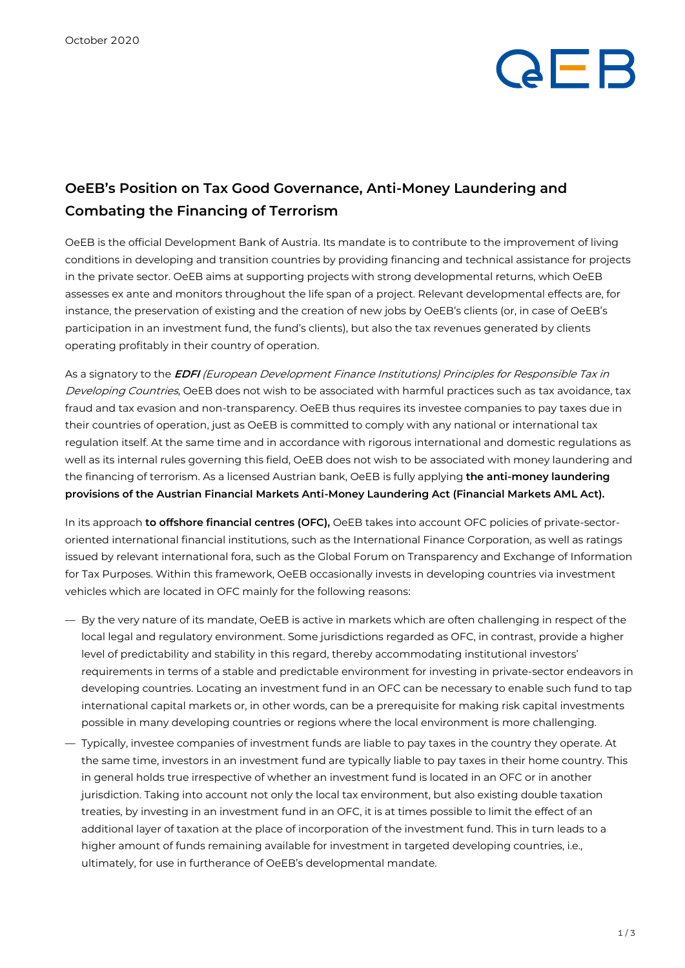# **AFB**

### **OeEB's Position on Tax Good Governance, Anti-Money Laundering and Combating the Financing of Terrorism**

OeEB is the official Development Bank of Austria. Its mandate is to contribute to the improvement of living conditions in developing and transition countries by providing financing and technical assistance for projects in the private sector. OeEB aims at supporting projects with strong developmental returns, which OeEB assesses ex ante and monitors throughout the life span of a project. Relevant developmental effects are, for instance, the preservation of existing and the creation of new jobs by OeEB's clients (or, in case of OeEB's participation in an investment fund, the fund's clients), but also the tax revenues generated by clients operating profitably in their country of operation.

As a signatory to the **EDFI** (European Development Finance Institutions) Principles for Responsible Tax in Developing Countries, OeEB does not wish to be associated with harmful practices such as tax avoidance, tax fraud and tax evasion and non-transparency. OeEB thus requires its investee companies to pay taxes due in their countries of operation, just as OeEB is committed to comply with any national or international tax regulation itself. At the same time and in accordance with rigorous international and domestic regulations as well as its internal rules governing this field, OeEB does not wish to be associated with money laundering and the financing of terrorism. As a licensed Austrian bank, OeEB is fully applying **the anti-money laundering provisions of the Austrian Financial Markets Anti-Money Laundering Act (Financial Markets AML Act).**

In its approach **to offshore financial centres (OFC),** OeEB takes into account OFC policies of private-sectororiented international financial institutions, such as the International Finance Corporation, as well as ratings issued by relevant international fora, such as the Global Forum on Transparency and Exchange of Information for Tax Purposes. Within this framework, OeEB occasionally invests in developing countries via investment vehicles which are located in OFC mainly for the following reasons:

- By the very nature of its mandate, OeEB is active in markets which are often challenging in respect of the local legal and regulatory environment. Some jurisdictions regarded as OFC, in contrast, provide a higher level of predictability and stability in this regard, thereby accommodating institutional investors' requirements in terms of a stable and predictable environment for investing in private-sector endeavors in developing countries. Locating an investment fund in an OFC can be necessary to enable such fund to tap international capital markets or, in other words, can be a prerequisite for making risk capital investments possible in many developing countries or regions where the local environment is more challenging.
- Typically, investee companies of investment funds are liable to pay taxes in the country they operate. At the same time, investors in an investment fund are typically liable to pay taxes in their home country. This in general holds true irrespective of whether an investment fund is located in an OFC or in another jurisdiction. Taking into account not only the local tax environment, but also existing double taxation treaties, by investing in an investment fund in an OFC, it is at times possible to limit the effect of an additional layer of taxation at the place of incorporation of the investment fund. This in turn leads to a higher amount of funds remaining available for investment in targeted developing countries, i.e., ultimately, for use in furtherance of OeEB's developmental mandate.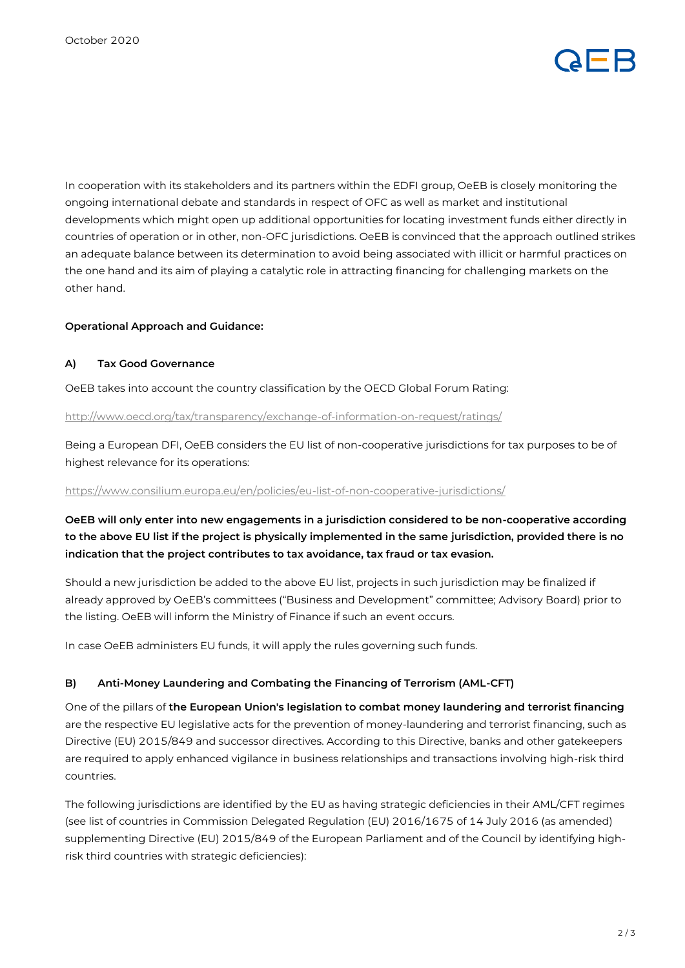

In cooperation with its stakeholders and its partners within the EDFI group, OeEB is closely monitoring the ongoing international debate and standards in respect of OFC as well as market and institutional developments which might open up additional opportunities for locating investment funds either directly in countries of operation or in other, non-OFC jurisdictions. OeEB is convinced that the approach outlined strikes an adequate balance between its determination to avoid being associated with illicit or harmful practices on the one hand and its aim of playing a catalytic role in attracting financing for challenging markets on the other hand.

#### **Operational Approach and Guidance:**

#### **A) Tax Good Governance**

OeEB takes into account the country classification by the OECD Global Forum Rating:

#### <http://www.oecd.org/tax/transparency/exchange-of-information-on-request/ratings/>

Being a European DFI, OeEB considers the EU list of non-cooperative jurisdictions for tax purposes to be of highest relevance for its operations:

#### <https://www.consilium.europa.eu/en/policies/eu-list-of-non-cooperative-jurisdictions/>

**OeEB will only enter into new engagements in a jurisdiction considered to be non-cooperative according to the above EU list if the project is physically implemented in the same jurisdiction, provided there is no indication that the project contributes to tax avoidance, tax fraud or tax evasion.**

Should a new jurisdiction be added to the above EU list, projects in such jurisdiction may be finalized if already approved by OeEB's committees ("Business and Development" committee; Advisory Board) prior to the listing. OeEB will inform the Ministry of Finance if such an event occurs.

In case OeEB administers EU funds, it will apply the rules governing such funds.

#### **B) Anti-Money Laundering and Combating the Financing of Terrorism (AML-CFT)**

One of the pillars of **the European Union's legislation to combat money laundering and terrorist financing** are the respective EU legislative acts for the prevention of money-laundering and terrorist financing, such as Directive (EU) 2015/849 and successor directives. According to this Directive, banks and other gatekeepers are required to apply enhanced vigilance in business relationships and transactions involving high-risk third countries.

The following jurisdictions are identified by the EU as having strategic deficiencies in their AML/CFT regimes (see list of countries in Commission Delegated Regulation (EU) 2016/1675 of 14 July 2016 (as amended) supplementing Directive (EU) 2015/849 of the European Parliament and of the Council by identifying highrisk third countries with strategic deficiencies):